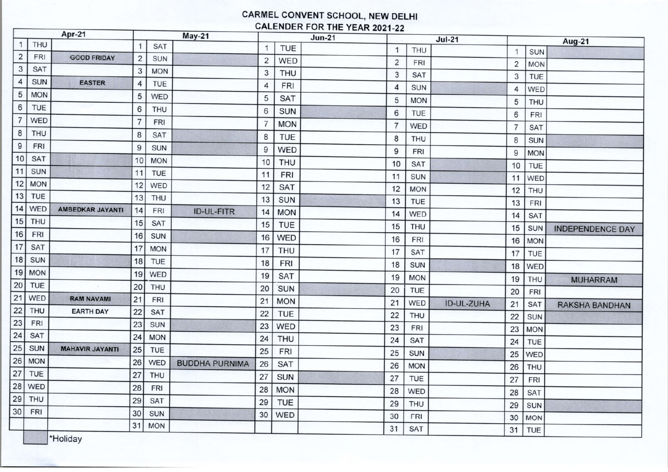## CARMEL CONVENT SCHOOL, NEW DELHI CALENDER FOR THE YEAR 2021-22

| Apr-21         |            | May-21                 |                |            | $Jun-21$              |                |            | $Jul-21$ |                |            | Aug-21            |                |            |                         |
|----------------|------------|------------------------|----------------|------------|-----------------------|----------------|------------|----------|----------------|------------|-------------------|----------------|------------|-------------------------|
| $\mathbf{1}$   | <b>THU</b> |                        |                | <b>SAT</b> |                       |                | <b>TUE</b> |          | $\mathbf{1}$   | <b>THU</b> |                   | $\mathbf 1$    | <b>SUN</b> |                         |
| $\overline{2}$ | <b>FRI</b> | <b>GOOD FRIDAY</b>     | $\overline{2}$ | <b>SUN</b> |                       | $\overline{2}$ | <b>WED</b> |          | $\overline{2}$ | <b>FRI</b> |                   | $\overline{2}$ | <b>MON</b> |                         |
| 3              | <b>SAT</b> |                        | 3              | <b>MON</b> |                       | 3              | <b>THU</b> |          | 3              | <b>SAT</b> |                   | 3              | TUE        |                         |
| 4              | <b>SUN</b> | <b>EASTER</b>          | 4              | <b>TUE</b> |                       | 4              | <b>FRI</b> |          | 4              | <b>SUN</b> |                   | $\overline{4}$ | WED        |                         |
| 5              | <b>MON</b> |                        | 5              | WED        |                       | 5              | <b>SAT</b> |          | 5              | <b>MON</b> |                   | 5              | <b>THU</b> |                         |
| $\epsilon$     | <b>TUE</b> |                        | 6              | <b>THU</b> |                       | 6              | <b>SUN</b> |          | 6              | <b>TUE</b> |                   | 6              | <b>FRI</b> |                         |
| $\overline{7}$ | WED        |                        |                | <b>FRI</b> |                       | 7              | <b>MON</b> |          | $\overline{7}$ | <b>WED</b> |                   | $\overline{7}$ | <b>SAT</b> |                         |
| 8              | <b>THU</b> |                        | 8              | <b>SAT</b> |                       | 8              | <b>TUE</b> |          | 8              | <b>THU</b> |                   | 8              | <b>SUN</b> |                         |
| $\overline{9}$ | <b>FRI</b> |                        | 9              | <b>SUN</b> |                       | 9              | <b>WED</b> |          | 9              | <b>FRI</b> |                   | 9              | <b>MON</b> |                         |
| 10             | <b>SAT</b> |                        | 10             | <b>MON</b> |                       | 10             | <b>THU</b> |          | 10             | <b>SAT</b> |                   | 10             | TUE        |                         |
| 11             | <b>SUN</b> |                        | 11             | TUE        |                       | 11             | <b>FRI</b> |          | 11             | <b>SUN</b> |                   | 11             | <b>WED</b> |                         |
| 12             | <b>MON</b> |                        | 12             | WED        |                       | 12             | <b>SAT</b> |          | 12             | <b>MON</b> |                   | 12             | <b>THU</b> |                         |
| 13             | <b>TUE</b> |                        | 13             | <b>THU</b> |                       | 13             | <b>SUN</b> |          | 13             | <b>TUE</b> |                   | 13             | <b>FRI</b> |                         |
| 14             | WED        | AMBEDKAR JAYANTI       | 14             | <b>FRI</b> | <b>ID-UL-FITR</b>     | 14             | <b>MON</b> |          | 14             | WED        |                   | 14             | <b>SAT</b> |                         |
| 15             | <b>THU</b> |                        | 15             | <b>SAT</b> |                       | 15             | <b>TUE</b> |          | 15             | <b>THU</b> |                   | 15             | <b>SUN</b> | <b>INDEPENDENCE DAY</b> |
| 16             | <b>FRI</b> |                        | 16             | <b>SUN</b> |                       | 16             | <b>WED</b> |          | 16             | <b>FRI</b> |                   | 16             | <b>MON</b> |                         |
| 17             | <b>SAT</b> |                        | 17             | <b>MON</b> |                       | 17             | <b>THU</b> |          | 17             | <b>SAT</b> |                   | 17             | TUE        |                         |
| 18             | <b>SUN</b> |                        | 18             | <b>TUE</b> |                       | 18             | <b>FRI</b> |          | 18             | <b>SUN</b> |                   | 18             | WED        |                         |
| 19             | <b>MON</b> |                        | 19             | WED        |                       | 19             | <b>SAT</b> |          | 19             | <b>MON</b> |                   | 19             | <b>THU</b> | <b>MUHARRAM</b>         |
| 20             | <b>TUE</b> |                        | 20             | THU        |                       | 20             | SUN        |          | 20             | <b>TUE</b> |                   | 20             | <b>FRI</b> |                         |
| 21             | WED        | <b>RAM NAVAMI</b>      | 21             | FRI        |                       | 21             | <b>MON</b> |          | 21             | WED        | <b>ID-UL-ZUHA</b> | 21             | <b>SAT</b> | <b>RAKSHA BANDHAN</b>   |
| 22             | THU        | <b>EARTH DAY</b>       | 22             | <b>SAT</b> |                       | 22             | <b>TUE</b> |          | 22             | <b>THU</b> |                   | 22             | <b>SUN</b> |                         |
| 23             | <b>FRI</b> |                        | 23             | <b>SUN</b> |                       | 23             | <b>WED</b> |          | 23             | <b>FRI</b> |                   | 23             | <b>MON</b> |                         |
| 24             | <b>SAT</b> |                        | 24             | <b>MON</b> |                       | 24             | <b>THU</b> |          | 24             | <b>SAT</b> |                   | 24             | TUE        |                         |
| 25             | <b>SUN</b> | <b>MAHAVIR JAYANTI</b> | 25             | TUE        |                       | 25             | <b>FRI</b> |          | 25             | <b>SUN</b> |                   | 25             | WED        |                         |
| 26             | <b>MON</b> |                        | 26             | WED        | <b>BUDDHA PURNIMA</b> | 26             | <b>SAT</b> |          | 26             | <b>MON</b> |                   | 26             | <b>THU</b> |                         |
| 27             | <b>TUE</b> |                        | 27             | <b>THU</b> |                       | 27             | <b>SUN</b> |          | 27             | <b>TUE</b> |                   | 27             | <b>FRI</b> |                         |
| 28             | WED        |                        | 28             | <b>FRI</b> |                       | 28             | <b>MON</b> |          | 28             | WED        |                   | 28             | <b>SAT</b> |                         |
| 29             | <b>THU</b> |                        | 29             | <b>SAT</b> |                       | 29             | <b>TUE</b> |          | 29             | <b>THU</b> |                   | 29             | <b>SUN</b> |                         |
| 30             | FRI        |                        | 30             | <b>SUN</b> |                       | 30             | WED        |          | 30             | <b>FRI</b> |                   | 30             | <b>MON</b> |                         |
|                |            |                        | 31             | <b>MON</b> |                       |                |            |          | 31             | <b>SAT</b> |                   | 31             | TUE        |                         |
|                |            | vebiloH*               |                |            |                       |                |            |          |                |            |                   |                |            |                         |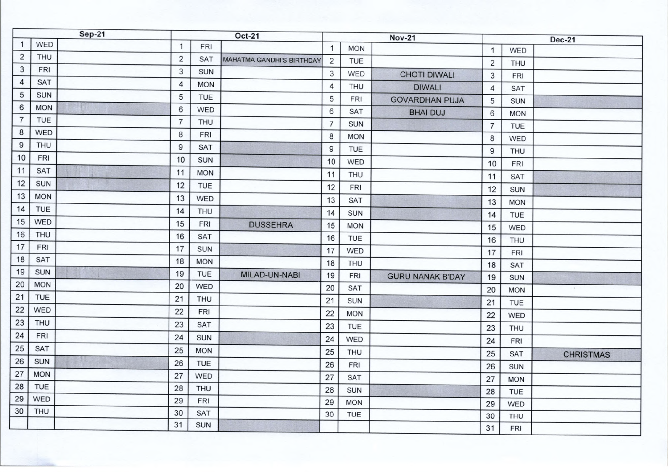| $\mathbf{1}$<br>$\mathbf{1}$<br>FRI<br>$\mathbf{1}$<br><b>MON</b><br>$\mathbf{1}$<br>WED<br>$\overline{2}$<br><b>THU</b><br>$\overline{2}$<br><b>SAT</b><br><b>MAHATMA GANDHI'S BIRTHDAY</b><br>2<br>TUE<br>$\overline{2}$<br><b>THU</b><br>$\mathbf{3}$<br><b>FRI</b><br>3<br><b>SUN</b><br>$\mathbf{3}$<br>WED<br><b>CHOTI DIWALI</b><br>3<br><b>FRI</b><br>4<br><b>SAT</b><br>4<br><b>MON</b><br>4<br><b>THU</b><br><b>DIWALI</b><br>$\overline{4}$<br><b>SAT</b><br>5<br><b>SUN</b><br>5<br>TUE<br>5<br><b>FRI</b><br><b>GOVARDHAN PUJA</b><br>5<br><b>SUN</b><br>6<br><b>MON</b><br>6<br>WED<br>6<br><b>SAT</b><br><b>BHAI DUJ</b><br>6<br><b>MON</b><br>$\overline{7}$<br><b>TUE</b><br>$\overline{7}$<br><b>THU</b><br>$\overline{7}$<br><b>SUN</b><br>$\overline{7}$<br>TUE<br>8<br>WED<br>8<br><b>FRI</b><br>8<br><b>MON</b><br>8<br><b>WED</b><br>$\boldsymbol{9}$<br><b>THU</b><br>$\overline{9}$<br><b>SAT</b><br>$\mathsf g$<br><b>TUE</b><br>9<br><b>THU</b><br>10<br>FRI<br>10<br><b>SUN</b><br>10<br><b>WED</b><br>10<br><b>FRI</b><br>11<br><b>SAT</b><br>11<br><b>MON</b><br>11<br><b>THU</b><br>11<br><b>SAT</b><br>12<br><b>SUN</b><br>12<br><b>TUE</b><br>12<br><b>FRI</b><br>12<br><b>SUN</b><br>13<br><b>MON</b><br>13<br>WED<br>13<br><b>SAT</b><br>13<br><b>MON</b><br>14<br><b>TUE</b><br>14<br><b>THU</b><br>14<br><b>SUN</b><br>14<br><b>TUE</b><br>15<br><b>WED</b><br>15<br><b>FRI</b><br><b>DUSSEHRA</b><br>15<br><b>MON</b><br>15<br>WED<br>16<br>THU<br>16<br><b>SAT</b><br>16<br><b>TUE</b><br>16<br><b>THU</b><br>17<br><b>FRI</b><br>17<br><b>SUN</b><br>17<br>WED<br>17<br><b>FRI</b><br>18<br><b>SAT</b><br>18<br><b>MON</b><br>18<br><b>THU</b><br>18<br><b>SAT</b><br>19<br><b>SUN</b><br>19<br><b>TUE</b><br>MILAD-UN-NABI<br>19<br><b>FRI</b><br><b>GURU NANAK B'DAY</b><br>19<br><b>SUN</b><br>20<br><b>MON</b><br>20<br><b>WED</b><br>20<br><b>SAT</b><br>20<br>$\cdot$<br><b>MON</b><br>21<br><b>TUE</b><br>21<br><b>THU</b><br>21<br><b>SUN</b><br>21<br><b>TUE</b><br>22<br><b>WED</b><br>22<br><b>FRI</b><br>22<br><b>MON</b><br>22<br><b>WED</b><br>23<br><b>THU</b><br>23<br><b>SAT</b><br>23<br>TUE<br>23<br>THU<br>24<br>FRI<br>24<br><b>SUN</b><br>24<br>WED<br>24<br><b>FRI</b><br>25<br><b>SAT</b><br>25<br><b>MON</b><br>25<br><b>THU</b><br>25<br><b>SAT</b><br><b>CHRISTMAS</b><br>26<br><b>SUN</b><br>26<br><b>TUE</b><br>26<br><b>FRI</b><br>26<br><b>SUN</b><br>27<br><b>MON</b><br>27<br>WED<br>27<br>SAT<br>27<br><b>MON</b><br>28<br>TUE<br>28<br><b>THU</b><br>28<br><b>SUN</b><br>28<br>TUE<br>29<br><b>WED</b><br>29<br>FRI<br>29<br><b>MON</b><br>29<br>WED<br>30<br><b>THU</b><br>30<br><b>SAT</b><br>30<br>TUE<br>30<br>THU | Sep-21 |     | <b>Oct-21</b> |    |            | <b>Nov-21</b> |  |  |  | <b>Dec-21</b> |     |  |
|---------------------------------------------------------------------------------------------------------------------------------------------------------------------------------------------------------------------------------------------------------------------------------------------------------------------------------------------------------------------------------------------------------------------------------------------------------------------------------------------------------------------------------------------------------------------------------------------------------------------------------------------------------------------------------------------------------------------------------------------------------------------------------------------------------------------------------------------------------------------------------------------------------------------------------------------------------------------------------------------------------------------------------------------------------------------------------------------------------------------------------------------------------------------------------------------------------------------------------------------------------------------------------------------------------------------------------------------------------------------------------------------------------------------------------------------------------------------------------------------------------------------------------------------------------------------------------------------------------------------------------------------------------------------------------------------------------------------------------------------------------------------------------------------------------------------------------------------------------------------------------------------------------------------------------------------------------------------------------------------------------------------------------------------------------------------------------------------------------------------------------------------------------------------------------------------------------------------------------------------------------------------------------------------------------------------------------------------------------------------------------------------------------------------------------------------------------------------------------------------------------------------------------------------------------------------------------------------------------------------------------------------------------------------------------------------------|--------|-----|---------------|----|------------|---------------|--|--|--|---------------|-----|--|
|                                                                                                                                                                                                                                                                                                                                                                                                                                                                                                                                                                                                                                                                                                                                                                                                                                                                                                                                                                                                                                                                                                                                                                                                                                                                                                                                                                                                                                                                                                                                                                                                                                                                                                                                                                                                                                                                                                                                                                                                                                                                                                                                                                                                                                                                                                                                                                                                                                                                                                                                                                                                                                                                                                   |        | WED |               |    |            |               |  |  |  |               |     |  |
|                                                                                                                                                                                                                                                                                                                                                                                                                                                                                                                                                                                                                                                                                                                                                                                                                                                                                                                                                                                                                                                                                                                                                                                                                                                                                                                                                                                                                                                                                                                                                                                                                                                                                                                                                                                                                                                                                                                                                                                                                                                                                                                                                                                                                                                                                                                                                                                                                                                                                                                                                                                                                                                                                                   |        |     |               |    |            |               |  |  |  |               |     |  |
|                                                                                                                                                                                                                                                                                                                                                                                                                                                                                                                                                                                                                                                                                                                                                                                                                                                                                                                                                                                                                                                                                                                                                                                                                                                                                                                                                                                                                                                                                                                                                                                                                                                                                                                                                                                                                                                                                                                                                                                                                                                                                                                                                                                                                                                                                                                                                                                                                                                                                                                                                                                                                                                                                                   |        |     |               |    |            |               |  |  |  |               |     |  |
|                                                                                                                                                                                                                                                                                                                                                                                                                                                                                                                                                                                                                                                                                                                                                                                                                                                                                                                                                                                                                                                                                                                                                                                                                                                                                                                                                                                                                                                                                                                                                                                                                                                                                                                                                                                                                                                                                                                                                                                                                                                                                                                                                                                                                                                                                                                                                                                                                                                                                                                                                                                                                                                                                                   |        |     |               |    |            |               |  |  |  |               |     |  |
|                                                                                                                                                                                                                                                                                                                                                                                                                                                                                                                                                                                                                                                                                                                                                                                                                                                                                                                                                                                                                                                                                                                                                                                                                                                                                                                                                                                                                                                                                                                                                                                                                                                                                                                                                                                                                                                                                                                                                                                                                                                                                                                                                                                                                                                                                                                                                                                                                                                                                                                                                                                                                                                                                                   |        |     |               |    |            |               |  |  |  |               |     |  |
|                                                                                                                                                                                                                                                                                                                                                                                                                                                                                                                                                                                                                                                                                                                                                                                                                                                                                                                                                                                                                                                                                                                                                                                                                                                                                                                                                                                                                                                                                                                                                                                                                                                                                                                                                                                                                                                                                                                                                                                                                                                                                                                                                                                                                                                                                                                                                                                                                                                                                                                                                                                                                                                                                                   |        |     |               |    |            |               |  |  |  |               |     |  |
|                                                                                                                                                                                                                                                                                                                                                                                                                                                                                                                                                                                                                                                                                                                                                                                                                                                                                                                                                                                                                                                                                                                                                                                                                                                                                                                                                                                                                                                                                                                                                                                                                                                                                                                                                                                                                                                                                                                                                                                                                                                                                                                                                                                                                                                                                                                                                                                                                                                                                                                                                                                                                                                                                                   |        |     |               |    |            |               |  |  |  |               |     |  |
|                                                                                                                                                                                                                                                                                                                                                                                                                                                                                                                                                                                                                                                                                                                                                                                                                                                                                                                                                                                                                                                                                                                                                                                                                                                                                                                                                                                                                                                                                                                                                                                                                                                                                                                                                                                                                                                                                                                                                                                                                                                                                                                                                                                                                                                                                                                                                                                                                                                                                                                                                                                                                                                                                                   |        |     |               |    |            |               |  |  |  |               |     |  |
|                                                                                                                                                                                                                                                                                                                                                                                                                                                                                                                                                                                                                                                                                                                                                                                                                                                                                                                                                                                                                                                                                                                                                                                                                                                                                                                                                                                                                                                                                                                                                                                                                                                                                                                                                                                                                                                                                                                                                                                                                                                                                                                                                                                                                                                                                                                                                                                                                                                                                                                                                                                                                                                                                                   |        |     |               |    |            |               |  |  |  |               |     |  |
|                                                                                                                                                                                                                                                                                                                                                                                                                                                                                                                                                                                                                                                                                                                                                                                                                                                                                                                                                                                                                                                                                                                                                                                                                                                                                                                                                                                                                                                                                                                                                                                                                                                                                                                                                                                                                                                                                                                                                                                                                                                                                                                                                                                                                                                                                                                                                                                                                                                                                                                                                                                                                                                                                                   |        |     |               |    |            |               |  |  |  |               |     |  |
|                                                                                                                                                                                                                                                                                                                                                                                                                                                                                                                                                                                                                                                                                                                                                                                                                                                                                                                                                                                                                                                                                                                                                                                                                                                                                                                                                                                                                                                                                                                                                                                                                                                                                                                                                                                                                                                                                                                                                                                                                                                                                                                                                                                                                                                                                                                                                                                                                                                                                                                                                                                                                                                                                                   |        |     |               |    |            |               |  |  |  |               |     |  |
|                                                                                                                                                                                                                                                                                                                                                                                                                                                                                                                                                                                                                                                                                                                                                                                                                                                                                                                                                                                                                                                                                                                                                                                                                                                                                                                                                                                                                                                                                                                                                                                                                                                                                                                                                                                                                                                                                                                                                                                                                                                                                                                                                                                                                                                                                                                                                                                                                                                                                                                                                                                                                                                                                                   |        |     |               |    |            |               |  |  |  |               |     |  |
|                                                                                                                                                                                                                                                                                                                                                                                                                                                                                                                                                                                                                                                                                                                                                                                                                                                                                                                                                                                                                                                                                                                                                                                                                                                                                                                                                                                                                                                                                                                                                                                                                                                                                                                                                                                                                                                                                                                                                                                                                                                                                                                                                                                                                                                                                                                                                                                                                                                                                                                                                                                                                                                                                                   |        |     |               |    |            |               |  |  |  |               |     |  |
|                                                                                                                                                                                                                                                                                                                                                                                                                                                                                                                                                                                                                                                                                                                                                                                                                                                                                                                                                                                                                                                                                                                                                                                                                                                                                                                                                                                                                                                                                                                                                                                                                                                                                                                                                                                                                                                                                                                                                                                                                                                                                                                                                                                                                                                                                                                                                                                                                                                                                                                                                                                                                                                                                                   |        |     |               |    |            |               |  |  |  |               |     |  |
|                                                                                                                                                                                                                                                                                                                                                                                                                                                                                                                                                                                                                                                                                                                                                                                                                                                                                                                                                                                                                                                                                                                                                                                                                                                                                                                                                                                                                                                                                                                                                                                                                                                                                                                                                                                                                                                                                                                                                                                                                                                                                                                                                                                                                                                                                                                                                                                                                                                                                                                                                                                                                                                                                                   |        |     |               |    |            |               |  |  |  |               |     |  |
|                                                                                                                                                                                                                                                                                                                                                                                                                                                                                                                                                                                                                                                                                                                                                                                                                                                                                                                                                                                                                                                                                                                                                                                                                                                                                                                                                                                                                                                                                                                                                                                                                                                                                                                                                                                                                                                                                                                                                                                                                                                                                                                                                                                                                                                                                                                                                                                                                                                                                                                                                                                                                                                                                                   |        |     |               |    |            |               |  |  |  |               |     |  |
|                                                                                                                                                                                                                                                                                                                                                                                                                                                                                                                                                                                                                                                                                                                                                                                                                                                                                                                                                                                                                                                                                                                                                                                                                                                                                                                                                                                                                                                                                                                                                                                                                                                                                                                                                                                                                                                                                                                                                                                                                                                                                                                                                                                                                                                                                                                                                                                                                                                                                                                                                                                                                                                                                                   |        |     |               |    |            |               |  |  |  |               |     |  |
|                                                                                                                                                                                                                                                                                                                                                                                                                                                                                                                                                                                                                                                                                                                                                                                                                                                                                                                                                                                                                                                                                                                                                                                                                                                                                                                                                                                                                                                                                                                                                                                                                                                                                                                                                                                                                                                                                                                                                                                                                                                                                                                                                                                                                                                                                                                                                                                                                                                                                                                                                                                                                                                                                                   |        |     |               |    |            |               |  |  |  |               |     |  |
|                                                                                                                                                                                                                                                                                                                                                                                                                                                                                                                                                                                                                                                                                                                                                                                                                                                                                                                                                                                                                                                                                                                                                                                                                                                                                                                                                                                                                                                                                                                                                                                                                                                                                                                                                                                                                                                                                                                                                                                                                                                                                                                                                                                                                                                                                                                                                                                                                                                                                                                                                                                                                                                                                                   |        |     |               |    |            |               |  |  |  |               |     |  |
|                                                                                                                                                                                                                                                                                                                                                                                                                                                                                                                                                                                                                                                                                                                                                                                                                                                                                                                                                                                                                                                                                                                                                                                                                                                                                                                                                                                                                                                                                                                                                                                                                                                                                                                                                                                                                                                                                                                                                                                                                                                                                                                                                                                                                                                                                                                                                                                                                                                                                                                                                                                                                                                                                                   |        |     |               |    |            |               |  |  |  |               |     |  |
|                                                                                                                                                                                                                                                                                                                                                                                                                                                                                                                                                                                                                                                                                                                                                                                                                                                                                                                                                                                                                                                                                                                                                                                                                                                                                                                                                                                                                                                                                                                                                                                                                                                                                                                                                                                                                                                                                                                                                                                                                                                                                                                                                                                                                                                                                                                                                                                                                                                                                                                                                                                                                                                                                                   |        |     |               |    |            |               |  |  |  |               |     |  |
|                                                                                                                                                                                                                                                                                                                                                                                                                                                                                                                                                                                                                                                                                                                                                                                                                                                                                                                                                                                                                                                                                                                                                                                                                                                                                                                                                                                                                                                                                                                                                                                                                                                                                                                                                                                                                                                                                                                                                                                                                                                                                                                                                                                                                                                                                                                                                                                                                                                                                                                                                                                                                                                                                                   |        |     |               |    |            |               |  |  |  |               |     |  |
|                                                                                                                                                                                                                                                                                                                                                                                                                                                                                                                                                                                                                                                                                                                                                                                                                                                                                                                                                                                                                                                                                                                                                                                                                                                                                                                                                                                                                                                                                                                                                                                                                                                                                                                                                                                                                                                                                                                                                                                                                                                                                                                                                                                                                                                                                                                                                                                                                                                                                                                                                                                                                                                                                                   |        |     |               |    |            |               |  |  |  |               |     |  |
|                                                                                                                                                                                                                                                                                                                                                                                                                                                                                                                                                                                                                                                                                                                                                                                                                                                                                                                                                                                                                                                                                                                                                                                                                                                                                                                                                                                                                                                                                                                                                                                                                                                                                                                                                                                                                                                                                                                                                                                                                                                                                                                                                                                                                                                                                                                                                                                                                                                                                                                                                                                                                                                                                                   |        |     |               |    |            |               |  |  |  |               |     |  |
|                                                                                                                                                                                                                                                                                                                                                                                                                                                                                                                                                                                                                                                                                                                                                                                                                                                                                                                                                                                                                                                                                                                                                                                                                                                                                                                                                                                                                                                                                                                                                                                                                                                                                                                                                                                                                                                                                                                                                                                                                                                                                                                                                                                                                                                                                                                                                                                                                                                                                                                                                                                                                                                                                                   |        |     |               |    |            |               |  |  |  |               |     |  |
|                                                                                                                                                                                                                                                                                                                                                                                                                                                                                                                                                                                                                                                                                                                                                                                                                                                                                                                                                                                                                                                                                                                                                                                                                                                                                                                                                                                                                                                                                                                                                                                                                                                                                                                                                                                                                                                                                                                                                                                                                                                                                                                                                                                                                                                                                                                                                                                                                                                                                                                                                                                                                                                                                                   |        |     |               |    |            |               |  |  |  |               |     |  |
|                                                                                                                                                                                                                                                                                                                                                                                                                                                                                                                                                                                                                                                                                                                                                                                                                                                                                                                                                                                                                                                                                                                                                                                                                                                                                                                                                                                                                                                                                                                                                                                                                                                                                                                                                                                                                                                                                                                                                                                                                                                                                                                                                                                                                                                                                                                                                                                                                                                                                                                                                                                                                                                                                                   |        |     |               |    |            |               |  |  |  |               |     |  |
|                                                                                                                                                                                                                                                                                                                                                                                                                                                                                                                                                                                                                                                                                                                                                                                                                                                                                                                                                                                                                                                                                                                                                                                                                                                                                                                                                                                                                                                                                                                                                                                                                                                                                                                                                                                                                                                                                                                                                                                                                                                                                                                                                                                                                                                                                                                                                                                                                                                                                                                                                                                                                                                                                                   |        |     |               |    |            |               |  |  |  |               |     |  |
|                                                                                                                                                                                                                                                                                                                                                                                                                                                                                                                                                                                                                                                                                                                                                                                                                                                                                                                                                                                                                                                                                                                                                                                                                                                                                                                                                                                                                                                                                                                                                                                                                                                                                                                                                                                                                                                                                                                                                                                                                                                                                                                                                                                                                                                                                                                                                                                                                                                                                                                                                                                                                                                                                                   |        |     |               |    |            |               |  |  |  |               |     |  |
|                                                                                                                                                                                                                                                                                                                                                                                                                                                                                                                                                                                                                                                                                                                                                                                                                                                                                                                                                                                                                                                                                                                                                                                                                                                                                                                                                                                                                                                                                                                                                                                                                                                                                                                                                                                                                                                                                                                                                                                                                                                                                                                                                                                                                                                                                                                                                                                                                                                                                                                                                                                                                                                                                                   |        |     |               |    |            |               |  |  |  |               |     |  |
|                                                                                                                                                                                                                                                                                                                                                                                                                                                                                                                                                                                                                                                                                                                                                                                                                                                                                                                                                                                                                                                                                                                                                                                                                                                                                                                                                                                                                                                                                                                                                                                                                                                                                                                                                                                                                                                                                                                                                                                                                                                                                                                                                                                                                                                                                                                                                                                                                                                                                                                                                                                                                                                                                                   |        |     |               | 31 | <b>SUN</b> |               |  |  |  | 31            | FRI |  |